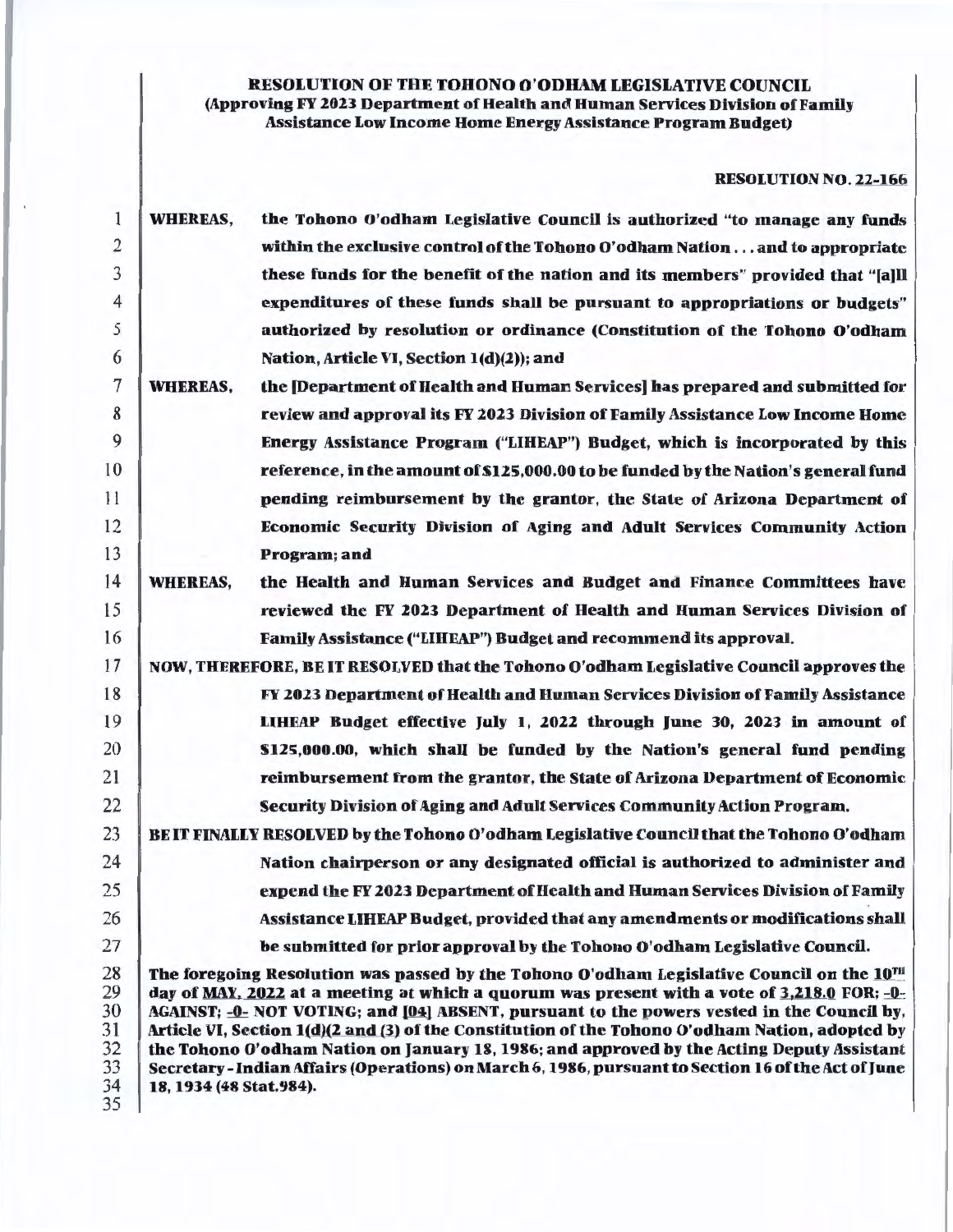## RESOLUTION OF THE TOHONO O'ODHAM LEGISLATIVE COUNCIL (Approving FY 2023 Department of Health and Human Services Division of Family Assistance Low Income Home Energy Assistance Program Budget)

# RESOLUTION NO. 22-166

| 1                                      | <b>WHEREAS,</b>         | the Tohono O'odham Legislative Council is authorized "to manage any funds                                                                                                                                                                                                                                                                                                                                                                                                                                                                                                                      |
|----------------------------------------|-------------------------|------------------------------------------------------------------------------------------------------------------------------------------------------------------------------------------------------------------------------------------------------------------------------------------------------------------------------------------------------------------------------------------------------------------------------------------------------------------------------------------------------------------------------------------------------------------------------------------------|
| $\overline{c}$                         |                         | within the exclusive control of the Tohono O'odham Nationand to appropriate                                                                                                                                                                                                                                                                                                                                                                                                                                                                                                                    |
| 3                                      |                         | these funds for the benefit of the nation and its members" provided that "[a]ll                                                                                                                                                                                                                                                                                                                                                                                                                                                                                                                |
| $\overline{4}$                         |                         | expenditures of these funds shall be pursuant to appropriations or budgets"                                                                                                                                                                                                                                                                                                                                                                                                                                                                                                                    |
| 5                                      |                         | authorized by resolution or ordinance (Constitution of the Tohono O'odham                                                                                                                                                                                                                                                                                                                                                                                                                                                                                                                      |
| 6                                      |                         | Nation, Article VI, Section 1(d)(2)); and                                                                                                                                                                                                                                                                                                                                                                                                                                                                                                                                                      |
| 7                                      | <b>WHEREAS,</b>         | the [Department of Health and Human Services] has prepared and submitted for                                                                                                                                                                                                                                                                                                                                                                                                                                                                                                                   |
| 8                                      |                         | review and approval its FY 2023 Division of Family Assistance Low Income Home                                                                                                                                                                                                                                                                                                                                                                                                                                                                                                                  |
| 9                                      |                         | Energy Assistance Program ("LIHEAP") Budget, which is incorporated by this                                                                                                                                                                                                                                                                                                                                                                                                                                                                                                                     |
| 10                                     |                         | reference, in the amount of \$125,000.00 to be funded by the Nation's general fund                                                                                                                                                                                                                                                                                                                                                                                                                                                                                                             |
| 11                                     |                         | pending reimbursement by the grantor, the State of Arizona Department of                                                                                                                                                                                                                                                                                                                                                                                                                                                                                                                       |
| 12                                     |                         | Economic Security Division of Aging and Adult Services Community Action                                                                                                                                                                                                                                                                                                                                                                                                                                                                                                                        |
| 13                                     |                         | Program; and                                                                                                                                                                                                                                                                                                                                                                                                                                                                                                                                                                                   |
| 14                                     | <b>WHEREAS,</b>         | the Health and Human Services and Budget and Finance Committees have                                                                                                                                                                                                                                                                                                                                                                                                                                                                                                                           |
| 15                                     |                         | reviewed the FY 2023 Department of Health and Human Services Division of                                                                                                                                                                                                                                                                                                                                                                                                                                                                                                                       |
| 16                                     |                         | Family Assistance ("LIHEAP") Budget and recommend its approval.                                                                                                                                                                                                                                                                                                                                                                                                                                                                                                                                |
| 17                                     |                         | NOW, THEREFORE, BE IT RESOLVED that the Tohono O'odham Legislative Council approves the                                                                                                                                                                                                                                                                                                                                                                                                                                                                                                        |
| 18                                     |                         | FY 2023 Department of Health and Human Services Division of Family Assistance                                                                                                                                                                                                                                                                                                                                                                                                                                                                                                                  |
| 19                                     |                         | LIHEAP Budget effective July 1, 2022 through June 30, 2023 in amount of                                                                                                                                                                                                                                                                                                                                                                                                                                                                                                                        |
| 20                                     |                         | \$125,000.00, which shall be funded by the Nation's general fund pending                                                                                                                                                                                                                                                                                                                                                                                                                                                                                                                       |
| 21                                     |                         | reimbursement from the grantor, the State of Arizona Department of Economic                                                                                                                                                                                                                                                                                                                                                                                                                                                                                                                    |
| 22                                     |                         | Security Division of Aging and Adult Services Community Action Program.                                                                                                                                                                                                                                                                                                                                                                                                                                                                                                                        |
| 23                                     |                         | BE IT FINALLY RESOLVED by the Tohono O'odham Legislative Council that the Tohono O'odham                                                                                                                                                                                                                                                                                                                                                                                                                                                                                                       |
| 24                                     |                         | Nation chairperson or any designated official is authorized to administer and                                                                                                                                                                                                                                                                                                                                                                                                                                                                                                                  |
| 25                                     |                         | expend the FY 2023 Department of Health and Human Services Division of Family                                                                                                                                                                                                                                                                                                                                                                                                                                                                                                                  |
| 26                                     |                         | Assistance LIHEAP Budget, provided that any amendments or modifications shall                                                                                                                                                                                                                                                                                                                                                                                                                                                                                                                  |
| 27                                     |                         | be submitted for prior approval by the Tohono O'odham Legislative Council.                                                                                                                                                                                                                                                                                                                                                                                                                                                                                                                     |
| 28<br>29<br>30<br>31<br>32<br>33<br>34 | 18, 1934 (48 Stat.984). | The foregoing Resolution was passed by the Tohono O'odham Legislative Council on the 10TH<br>day of MAY, 2022 at a meeting at which a quorum was present with a vote of 3,218.0 FOR; -0-<br>AGAINST; -0- NOT VOTING; and [04] ABSENT, pursuant to the powers vested in the Council by,<br>Article VI, Section 1(d)(2 and (3) of the Constitution of the Tohono O'odham Nation, adopted by<br>the Tohono O'odham Nation on January 18, 1986; and approved by the Acting Deputy Assistant<br>Secretary - Indian Affairs (Operations) on March 6, 1986, pursuant to Section 16 of the Act of June |
| 35                                     |                         |                                                                                                                                                                                                                                                                                                                                                                                                                                                                                                                                                                                                |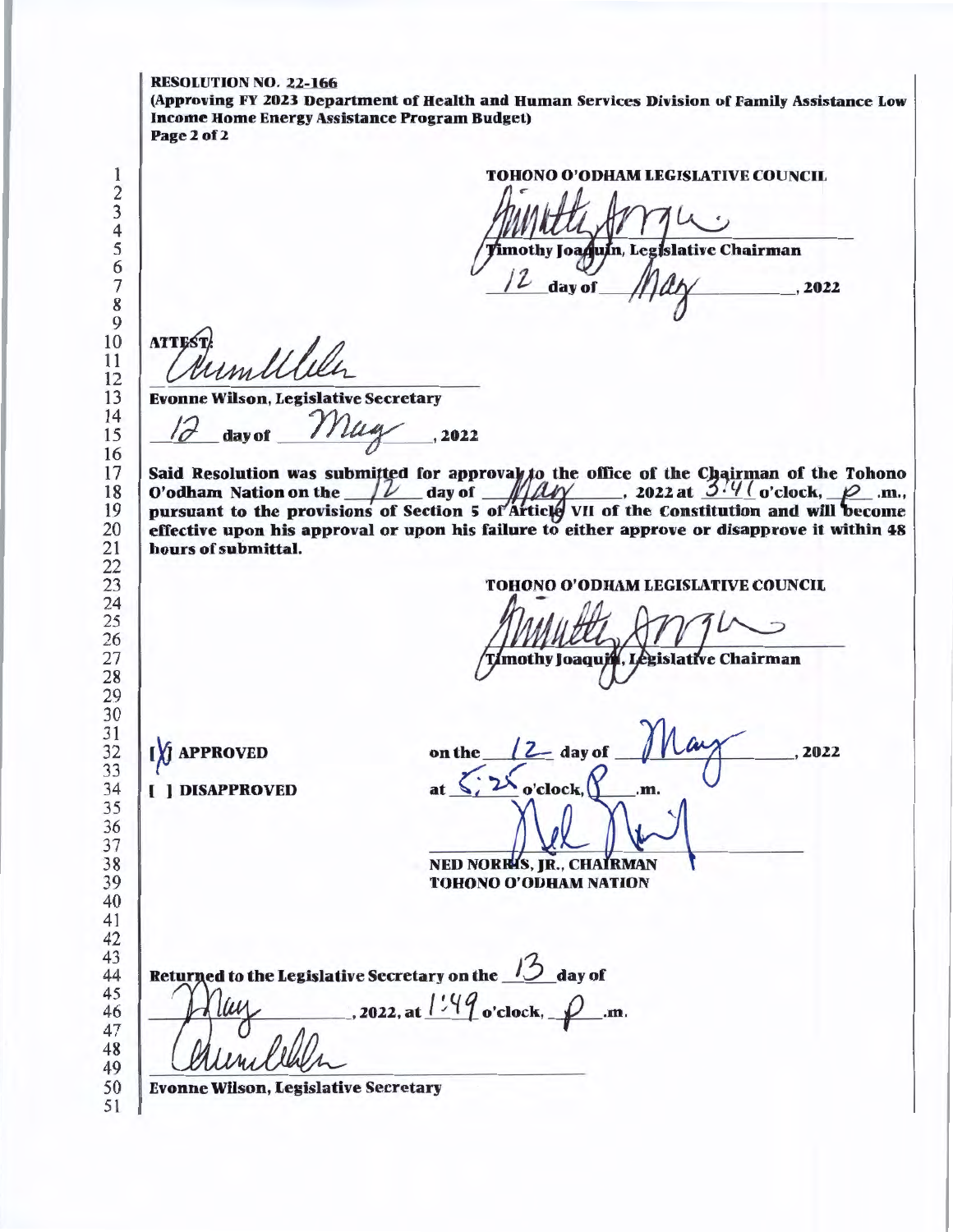RESOLUTION NO. 22-166 (Approving FY 2023 Department of Health and Human Services Division of Family Assistance Low Income Home Energy Assistance Program Budget) Page2of2 TOHONO O'ODRAM LEGISIATIVE COUNCIL mothy Joaquín, Legislative Chairman day of  $, 2022$  **ATTES**  *JUMULULL*<br>pnne Wilson, Legislative Secretary<br>17 day of *Muly*, 2022 Evonne Wilson, Legislative Secretary Said Resolution was submitted for approval to the office of the Chairman of the Tohono O'odham Nation on the  $\sqrt{\frac{2}{\pi}}$  day of  $\sqrt{\frac{2\pi}{\pi}}$ , 2022 at  $\frac{374}{\pi}$  o'clock,  $\sqrt{2}$  .m., pursuant to the provisions of Section 5 of Article VII of the Constitution and will become effective upon his approval or upon his failure to either approve or disapprove it within 48 hours of submittal. TOHONO O'ODHAM LEGISIATIVE COUNCIL mothy Joaqui égislative Chairman on the  $(2$  day of [X] APPROVED  $\sqrt{1 - \frac{2022}{200}}$  ( ] DISAPPROVED  $o$ 'clock. $\binom{r}{1}$  .m. **NED NORRIS, JR., CHAIRMAN**  TOHONO O'ODHAM NATION Returned to the Legislative Secretary on the day of  $-$ , 2022, at  $1:49$  o'clock,  $-$ .m. Evonne Wilson, Legislative Secretary